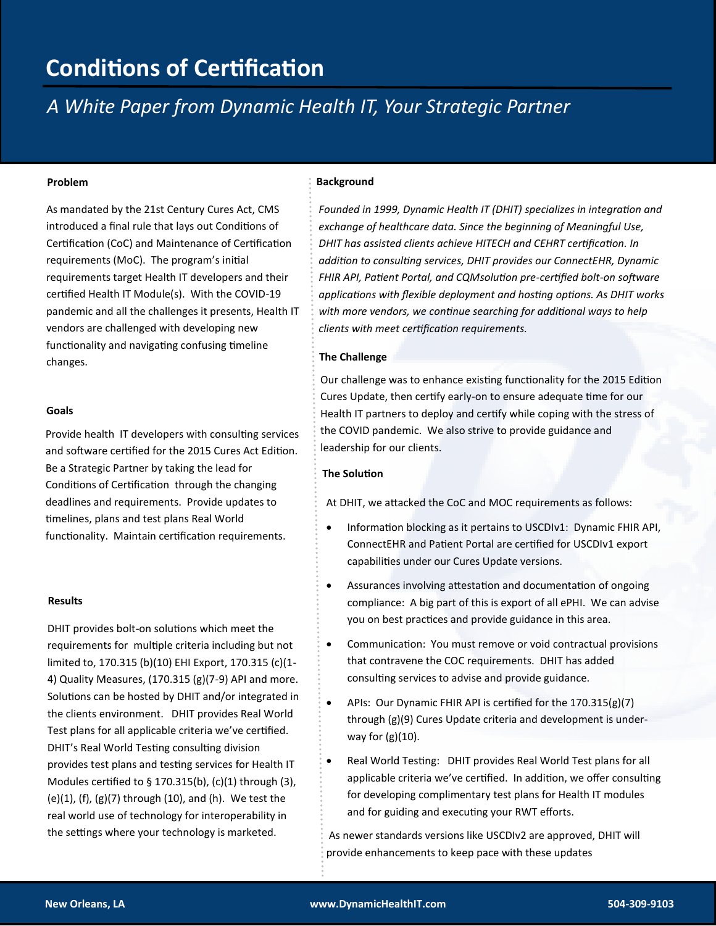## **Conditions of Certification**

### *A White Paper from Dynamic Health IT, Your Strategic Partner*

As mandated by the 21st Century Cures Act, CMS introduced a final rule that lays out Conditions of Certification (CoC) and Maintenance of Certification requirements (MoC). The program's initial requirements target Health IT developers and their certified Health IT Module(s). With the COVID-19 pandemic and all the challenges it presents, Health IT vendors are challenged with developing new functionality and navigating confusing timeline changes.

#### **Goals**

Provide health IT developers with consulting services and software certified for the 2015 Cures Act Edition. Be a Strategic Partner by taking the lead for Conditions of Certification through the changing deadlines and requirements. Provide updates to timelines, plans and test plans Real World functionality. Maintain certification requirements.

#### **Results**

DHIT provides bolt-on solutions which meet the requirements for multiple criteria including but not limited to, 170.315 (b)(10) EHI Export, 170.315 (c)(1- 4) Quality Measures, (170.315 (g)(7-9) API and more. Solutions can be hosted by DHIT and/or integrated in the clients environment. DHIT provides Real World Test plans for all applicable criteria we've certified. DHIT's Real World Testing consulting division provides test plans and testing services for Health IT Modules certified to § 170.315(b), (c)(1) through (3), (e)(1), (f), (g)(7) through (10), and (h). We test the real world use of technology for interoperability in the settings where your technology is marketed.

### **Problem Background**

*Founded in 1999, Dynamic Health IT (DHIT) specializes in integration and exchange of healthcare data. Since the beginning of Meaningful Use, DHIT has assisted clients achieve HITECH and CEHRT certification. In addition to consulting services, DHIT provides our ConnectEHR, Dynamic FHIR API, Patient Portal, and CQMsolution pre-certified bolt-on software applications with flexible deployment and hosting options. As DHIT works with more vendors, we continue searching for additional ways to help clients with meet certification requirements.* 

#### **The Challenge**

Our challenge was to enhance existing functionality for the 2015 Edition Cures Update, then certify early-on to ensure adequate time for our Health IT partners to deploy and certify while coping with the stress of the COVID pandemic. We also strive to provide guidance and leadership for our clients.

#### **The Solution**

At DHIT, we attacked the CoC and MOC requirements as follows:

- Information blocking as it pertains to USCDIv1: Dynamic FHIR API, ConnectEHR and Patient Portal are certified for USCDIv1 export capabilities under our Cures Update versions.
- Assurances involving attestation and documentation of ongoing compliance: A big part of this is export of all ePHI. We can advise you on best practices and provide guidance in this area.
- Communication: You must remove or void contractual provisions that contravene the COC requirements. DHIT has added consulting services to advise and provide guidance.
- APIs: Our Dynamic FHIR API is certified for the 170.315(g)(7) through (g)(9) Cures Update criteria and development is underway for  $(g)(10)$ .
- Real World Testing: DHIT provides Real World Test plans for all applicable criteria we've certified. In addition, we offer consulting for developing complimentary test plans for Health IT modules and for guiding and executing your RWT efforts.

As newer standards versions like USCDIv2 are approved, DHIT will provide enhancements to keep pace with these updates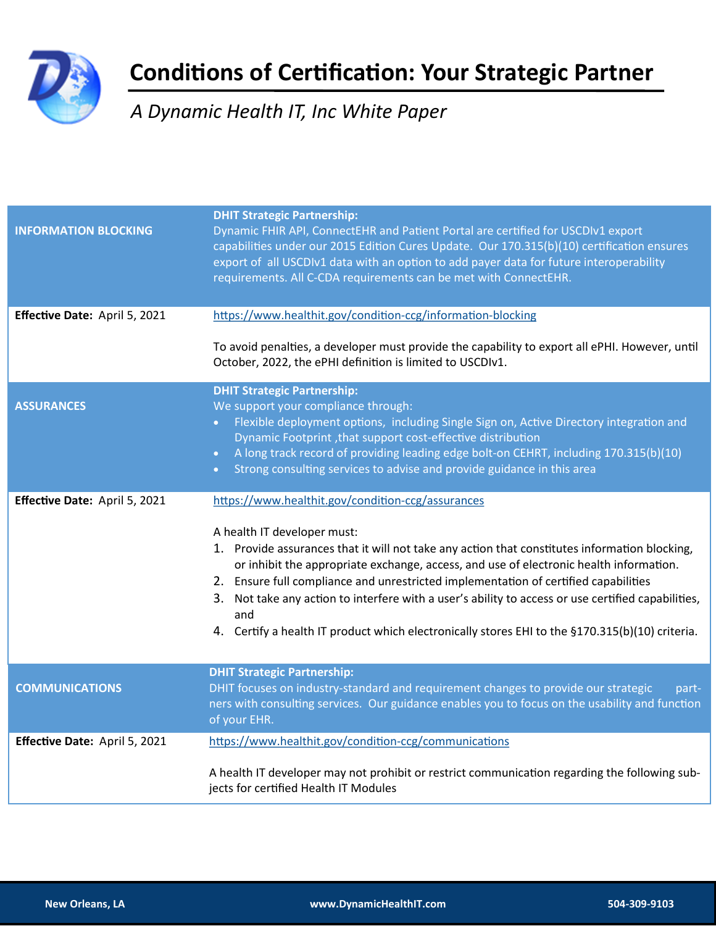

# **Conditions of Certification: Your Strategic Partner**

### *A Dynamic Health IT, Inc White Paper*

| <b>INFORMATION BLOCKING</b>   | <b>DHIT Strategic Partnership:</b><br>Dynamic FHIR API, ConnectEHR and Patient Portal are certified for USCDIv1 export<br>capabilities under our 2015 Edition Cures Update. Our 170.315(b)(10) certification ensures<br>export of all USCDIv1 data with an option to add payer data for future interoperability<br>requirements. All C-CDA requirements can be met with ConnectEHR.                                                                                                                                                                                                |
|-------------------------------|------------------------------------------------------------------------------------------------------------------------------------------------------------------------------------------------------------------------------------------------------------------------------------------------------------------------------------------------------------------------------------------------------------------------------------------------------------------------------------------------------------------------------------------------------------------------------------|
| Effective Date: April 5, 2021 | https://www.healthit.gov/condition-ccg/information-blocking                                                                                                                                                                                                                                                                                                                                                                                                                                                                                                                        |
|                               | To avoid penalties, a developer must provide the capability to export all ePHI. However, until<br>October, 2022, the ePHI definition is limited to USCDIv1.                                                                                                                                                                                                                                                                                                                                                                                                                        |
| <b>ASSURANCES</b>             | <b>DHIT Strategic Partnership:</b><br>We support your compliance through:<br>Flexible deployment options, including Single Sign on, Active Directory integration and<br>Dynamic Footprint, that support cost-effective distribution<br>A long track record of providing leading edge bolt-on CEHRT, including 170.315(b)(10)<br>$\bullet$<br>Strong consulting services to advise and provide guidance in this area<br>$\bullet$                                                                                                                                                   |
| Effective Date: April 5, 2021 | https://www.healthit.gov/condition-ccg/assurances<br>A health IT developer must:<br>1. Provide assurances that it will not take any action that constitutes information blocking,<br>or inhibit the appropriate exchange, access, and use of electronic health information.<br>2. Ensure full compliance and unrestricted implementation of certified capabilities<br>3. Not take any action to interfere with a user's ability to access or use certified capabilities,<br>and<br>4. Certify a health IT product which electronically stores EHI to the §170.315(b)(10) criteria. |
| <b>COMMUNICATIONS</b>         | <b>DHIT Strategic Partnership:</b><br>DHIT focuses on industry-standard and requirement changes to provide our strategic<br>part-<br>ners with consulting services. Our guidance enables you to focus on the usability and function<br>of your EHR.                                                                                                                                                                                                                                                                                                                                |
| Effective Date: April 5, 2021 | https://www.healthit.gov/condition-ccg/communications<br>A health IT developer may not prohibit or restrict communication regarding the following sub-<br>jects for certified Health IT Modules                                                                                                                                                                                                                                                                                                                                                                                    |